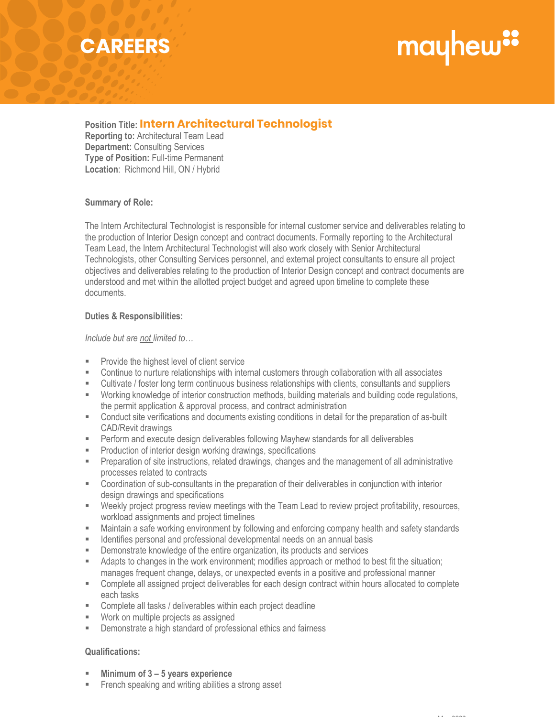## **CAREERS**

# mayhew"

**Position Title: Intern Architectural Technologist Intern Architectural Technologist Reporting to:** Architectural Team Lead **Department:** Consulting Services **Type of Position:** Full-time Permanent

#### **Summary of Role:**

**Location**: Richmond Hill, ON / Hybrid

The Intern Architectural Technologist is responsible for internal customer service and deliverables relating to the production of Interior Design concept and contract documents. Formally reporting to the Architectural Team Lead, the Intern Architectural Technologist will also work closely with Senior Architectural Technologists, other Consulting Services personnel, and external project consultants to ensure all project objectives and deliverables relating to the production of Interior Design concept and contract documents are understood and met within the allotted project budget and agreed upon timeline to complete these documents.

#### **Duties & Responsibilities:**

*Include but are not limited to…*

- **Provide the highest level of client service**
- Continue to nurture relationships with internal customers through collaboration with all associates
- Cultivate / foster long term continuous business relationships with clients, consultants and suppliers
- Working knowledge of interior construction methods, building materials and building code regulations, the permit application & approval process, and contract administration
- Conduct site verifications and documents existing conditions in detail for the preparation of as-built CAD/Revit drawings
- Perform and execute design deliverables following Mayhew standards for all deliverables
- **Production of interior design working drawings, specifications**
- **Preparation of site instructions, related drawings, changes and the management of all administrative** processes related to contracts
- Coordination of sub-consultants in the preparation of their deliverables in conjunction with interior design drawings and specifications
- Weekly project progress review meetings with the Team Lead to review project profitability, resources, workload assignments and project timelines
- Maintain a safe working environment by following and enforcing company health and safety standards
- **IDENTIFIER** 1 Identifies personal and professional developmental needs on an annual basis
- **EXEDEM** Demonstrate knowledge of the entire organization, its products and services
- Adapts to changes in the work environment; modifies approach or method to best fit the situation; manages frequent change, delays, or unexpected events in a positive and professional manner
- Complete all assigned project deliverables for each design contract within hours allocated to complete each tasks
- **EXECOMPLET A.1 Complete all tasks / deliverables within each project deadline**
- Work on multiple projects as assigned
- Demonstrate a high standard of professional ethics and fairness

### **Qualifications:**

- **Minimum of 3 – 5 years experience**
- French speaking and writing abilities a strong asset